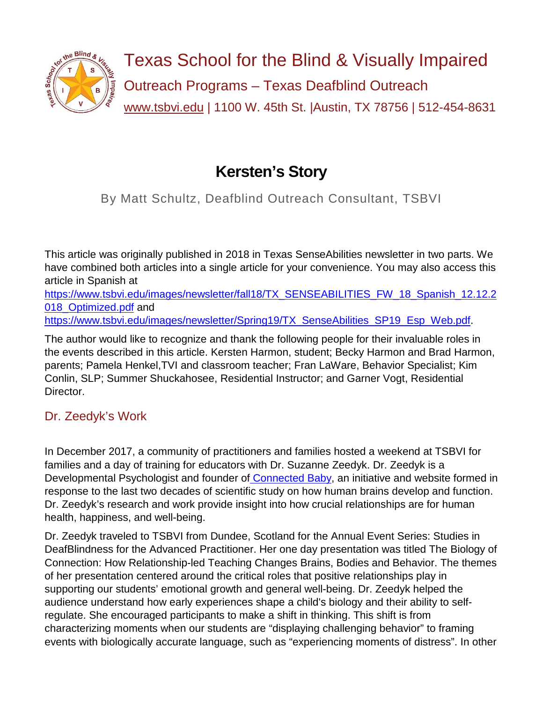

# **Kersten's Story**

By Matt Schultz, Deafblind Outreach Consultant, TSBVI

This article was originally published in 2018 in Texas SenseAbilities newsletter in two parts. We have combined both articles into a single article for your convenience. You may also access this article in Spanish at

[https://www.tsbvi.edu/images/newsletter/fall18/TX\\_SENSEABILITIES\\_FW\\_18\\_Spanish\\_12.12.2](https://www.tsbvi.edu/images/newsletter/fall18/TX_SENSEABILITIES_FW_18_Spanish_12.12.2018_Optimized.pdf) [018\\_Optimized.pdf](https://www.tsbvi.edu/images/newsletter/fall18/TX_SENSEABILITIES_FW_18_Spanish_12.12.2018_Optimized.pdf) and

[https://www.tsbvi.edu/images/newsletter/Spring19/TX\\_SenseAbilities\\_SP19\\_Esp\\_Web.pdf.](https://www.tsbvi.edu/images/newsletter/Spring19/TX_SenseAbilities_SP19_Esp_Web.pdf)

The author would like to recognize and thank the following people for their invaluable roles in the events described in this article. Kersten Harmon, student; Becky Harmon and Brad Harmon, parents; Pamela Henkel,TVI and classroom teacher; Fran LaWare, Behavior Specialist; Kim Conlin, SLP; Summer Shuckahosee, Residential Instructor; and Garner Vogt, Residential Director.

# Dr. Zeedyk's Work

In December 2017, a community of practitioners and families hosted a weekend at TSBVI for families and a day of training for educators with Dr. Suzanne Zeedyk. Dr. Zeedyk is a Developmental Psychologist and founder of [Connected Baby,](http://connectedbaby.net/) an initiative and website formed in response to the last two decades of scientific study on how human brains develop and function. Dr. Zeedyk's research and work provide insight into how crucial relationships are for human health, happiness, and well-being.

Dr. Zeedyk traveled to TSBVI from Dundee, Scotland for the Annual Event Series: Studies in DeafBlindness for the Advanced Practitioner. Her one day presentation was titled The Biology of Connection: How Relationship-led Teaching Changes Brains, Bodies and Behavior. The themes of her presentation centered around the critical roles that positive relationships play in supporting our students' emotional growth and general well-being. Dr. Zeedyk helped the audience understand how early experiences shape a child's biology and their ability to selfregulate. She encouraged participants to make a shift in thinking. This shift is from characterizing moments when our students are "displaying challenging behavior" to framing events with biologically accurate language, such as "experiencing moments of distress". In other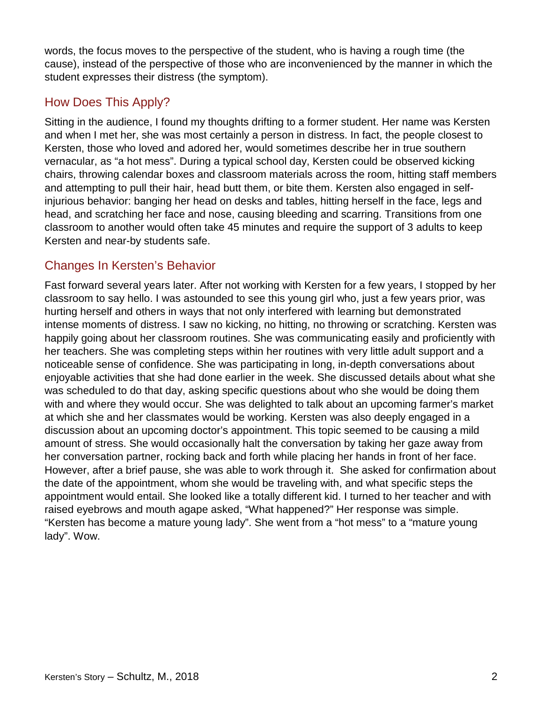words, the focus moves to the perspective of the student, who is having a rough time (the cause), instead of the perspective of those who are inconvenienced by the manner in which the student expresses their distress (the symptom).

### How Does This Apply?

Sitting in the audience, I found my thoughts drifting to a former student. Her name was Kersten and when I met her, she was most certainly a person in distress. In fact, the people closest to Kersten, those who loved and adored her, would sometimes describe her in true southern vernacular, as "a hot mess". During a typical school day, Kersten could be observed kicking chairs, throwing calendar boxes and classroom materials across the room, hitting staff members and attempting to pull their hair, head butt them, or bite them. Kersten also engaged in selfinjurious behavior: banging her head on desks and tables, hitting herself in the face, legs and head, and scratching her face and nose, causing bleeding and scarring. Transitions from one classroom to another would often take 45 minutes and require the support of 3 adults to keep Kersten and near-by students safe.

### Changes In Kersten's Behavior

Fast forward several years later. After not working with Kersten for a few years, I stopped by her classroom to say hello. I was astounded to see this young girl who, just a few years prior, was hurting herself and others in ways that not only interfered with learning but demonstrated intense moments of distress. I saw no kicking, no hitting, no throwing or scratching. Kersten was happily going about her classroom routines. She was communicating easily and proficiently with her teachers. She was completing steps within her routines with very little adult support and a noticeable sense of confidence. She was participating in long, in-depth conversations about enjoyable activities that she had done earlier in the week. She discussed details about what she was scheduled to do that day, asking specific questions about who she would be doing them with and where they would occur. She was delighted to talk about an upcoming farmer's market at which she and her classmates would be working. Kersten was also deeply engaged in a discussion about an upcoming doctor's appointment. This topic seemed to be causing a mild amount of stress. She would occasionally halt the conversation by taking her gaze away from her conversation partner, rocking back and forth while placing her hands in front of her face. However, after a brief pause, she was able to work through it. She asked for confirmation about the date of the appointment, whom she would be traveling with, and what specific steps the appointment would entail. She looked like a totally different kid. I turned to her teacher and with raised eyebrows and mouth agape asked, "What happened?" Her response was simple. "Kersten has become a mature young lady". She went from a "hot mess" to a "mature young lady". Wow.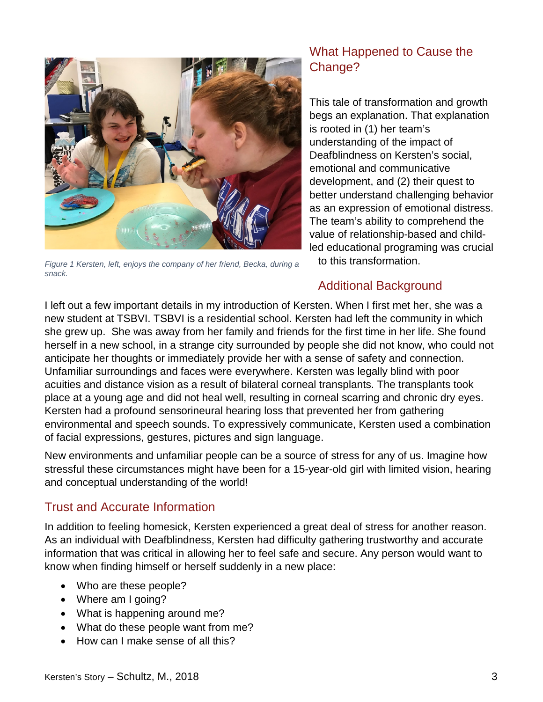

*Figure 1 Kersten, left, enjoys the company of her friend, Becka, during a snack.*

# What Happened to Cause the Change?

This tale of transformation and growth begs an explanation. That explanation is rooted in (1) her team's understanding of the impact of Deafblindness on Kersten's social, emotional and communicative development, and (2) their quest to better understand challenging behavior as an expression of emotional distress. The team's ability to comprehend the value of relationship-based and childled educational programing was crucial to this transformation.

#### Additional Background

I left out a few important details in my introduction of Kersten. When I first met her, she was a new student at TSBVI. TSBVI is a residential school. Kersten had left the community in which she grew up. She was away from her family and friends for the first time in her life. She found herself in a new school, in a strange city surrounded by people she did not know, who could not anticipate her thoughts or immediately provide her with a sense of safety and connection. Unfamiliar surroundings and faces were everywhere. Kersten was legally blind with poor acuities and distance vision as a result of bilateral corneal transplants. The transplants took place at a young age and did not heal well, resulting in corneal scarring and chronic dry eyes. Kersten had a profound sensorineural hearing loss that prevented her from gathering environmental and speech sounds. To expressively communicate, Kersten used a combination of facial expressions, gestures, pictures and sign language.

New environments and unfamiliar people can be a source of stress for any of us. Imagine how stressful these circumstances might have been for a 15-year-old girl with limited vision, hearing and conceptual understanding of the world!

# Trust and Accurate Information

In addition to feeling homesick, Kersten experienced a great deal of stress for another reason. As an individual with Deafblindness, Kersten had difficulty gathering trustworthy and accurate information that was critical in allowing her to feel safe and secure. Any person would want to know when finding himself or herself suddenly in a new place:

- Who are these people?
- Where am I going?
- What is happening around me?
- What do these people want from me?
- How can I make sense of all this?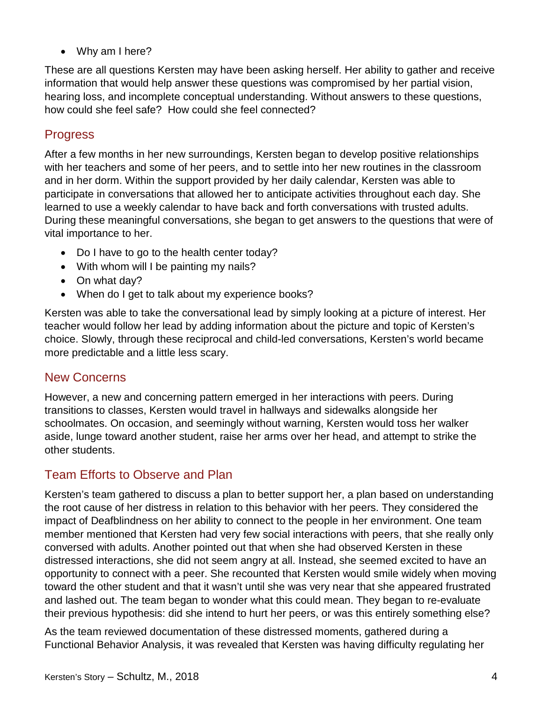• Why am I here?

These are all questions Kersten may have been asking herself. Her ability to gather and receive information that would help answer these questions was compromised by her partial vision, hearing loss, and incomplete conceptual understanding. Without answers to these questions, how could she feel safe? How could she feel connected?

#### Progress

After a few months in her new surroundings, Kersten began to develop positive relationships with her teachers and some of her peers, and to settle into her new routines in the classroom and in her dorm. Within the support provided by her daily calendar, Kersten was able to participate in conversations that allowed her to anticipate activities throughout each day. She learned to use a weekly calendar to have back and forth conversations with trusted adults. During these meaningful conversations, she began to get answers to the questions that were of vital importance to her.

- Do I have to go to the health center today?
- With whom will I be painting my nails?
- On what day?
- When do I get to talk about my experience books?

Kersten was able to take the conversational lead by simply looking at a picture of interest. Her teacher would follow her lead by adding information about the picture and topic of Kersten's choice. Slowly, through these reciprocal and child-led conversations, Kersten's world became more predictable and a little less scary.

#### New Concerns

However, a new and concerning pattern emerged in her interactions with peers. During transitions to classes, Kersten would travel in hallways and sidewalks alongside her schoolmates. On occasion, and seemingly without warning, Kersten would toss her walker aside, lunge toward another student, raise her arms over her head, and attempt to strike the other students.

#### Team Efforts to Observe and Plan

Kersten's team gathered to discuss a plan to better support her, a plan based on understanding the root cause of her distress in relation to this behavior with her peers. They considered the impact of Deafblindness on her ability to connect to the people in her environment. One team member mentioned that Kersten had very few social interactions with peers, that she really only conversed with adults. Another pointed out that when she had observed Kersten in these distressed interactions, she did not seem angry at all. Instead, she seemed excited to have an opportunity to connect with a peer. She recounted that Kersten would smile widely when moving toward the other student and that it wasn't until she was very near that she appeared frustrated and lashed out. The team began to wonder what this could mean. They began to re-evaluate their previous hypothesis: did she intend to hurt her peers, or was this entirely something else?

As the team reviewed documentation of these distressed moments, gathered during a Functional Behavior Analysis, it was revealed that Kersten was having difficulty regulating her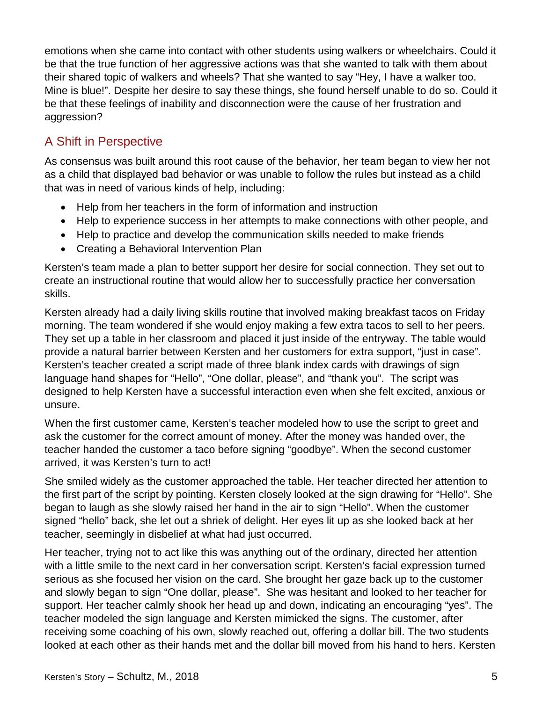emotions when she came into contact with other students using walkers or wheelchairs. Could it be that the true function of her aggressive actions was that she wanted to talk with them about their shared topic of walkers and wheels? That she wanted to say "Hey, I have a walker too. Mine is blue!". Despite her desire to say these things, she found herself unable to do so. Could it be that these feelings of inability and disconnection were the cause of her frustration and aggression?

# A Shift in Perspective

As consensus was built around this root cause of the behavior, her team began to view her not as a child that displayed bad behavior or was unable to follow the rules but instead as a child that was in need of various kinds of help, including:

- Help from her teachers in the form of information and instruction
- Help to experience success in her attempts to make connections with other people, and
- Help to practice and develop the communication skills needed to make friends
- Creating a Behavioral Intervention Plan

Kersten's team made a plan to better support her desire for social connection. They set out to create an instructional routine that would allow her to successfully practice her conversation skills.

Kersten already had a daily living skills routine that involved making breakfast tacos on Friday morning. The team wondered if she would enjoy making a few extra tacos to sell to her peers. They set up a table in her classroom and placed it just inside of the entryway. The table would provide a natural barrier between Kersten and her customers for extra support, "just in case". Kersten's teacher created a script made of three blank index cards with drawings of sign language hand shapes for "Hello", "One dollar, please", and "thank you". The script was designed to help Kersten have a successful interaction even when she felt excited, anxious or unsure.

When the first customer came, Kersten's teacher modeled how to use the script to greet and ask the customer for the correct amount of money. After the money was handed over, the teacher handed the customer a taco before signing "goodbye". When the second customer arrived, it was Kersten's turn to act!

She smiled widely as the customer approached the table. Her teacher directed her attention to the first part of the script by pointing. Kersten closely looked at the sign drawing for "Hello". She began to laugh as she slowly raised her hand in the air to sign "Hello". When the customer signed "hello" back, she let out a shriek of delight. Her eyes lit up as she looked back at her teacher, seemingly in disbelief at what had just occurred.

Her teacher, trying not to act like this was anything out of the ordinary, directed her attention with a little smile to the next card in her conversation script. Kersten's facial expression turned serious as she focused her vision on the card. She brought her gaze back up to the customer and slowly began to sign "One dollar, please". She was hesitant and looked to her teacher for support. Her teacher calmly shook her head up and down, indicating an encouraging "yes". The teacher modeled the sign language and Kersten mimicked the signs. The customer, after receiving some coaching of his own, slowly reached out, offering a dollar bill. The two students looked at each other as their hands met and the dollar bill moved from his hand to hers. Kersten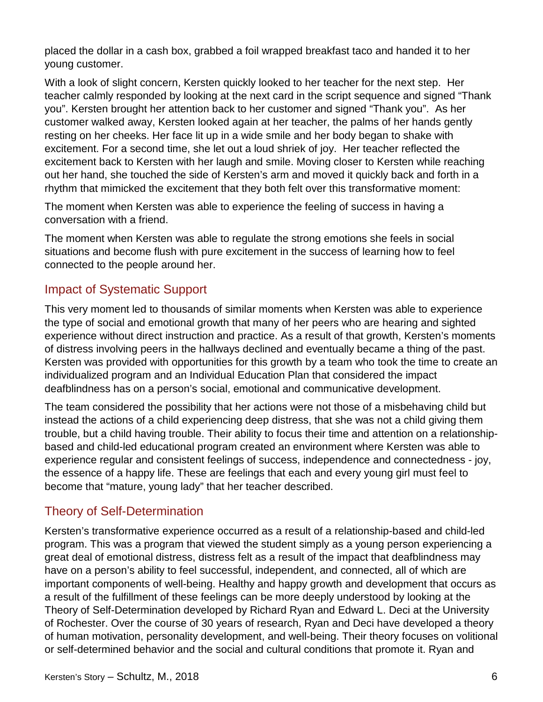placed the dollar in a cash box, grabbed a foil wrapped breakfast taco and handed it to her young customer.

With a look of slight concern, Kersten quickly looked to her teacher for the next step. Her teacher calmly responded by looking at the next card in the script sequence and signed "Thank you". Kersten brought her attention back to her customer and signed "Thank you". As her customer walked away, Kersten looked again at her teacher, the palms of her hands gently resting on her cheeks. Her face lit up in a wide smile and her body began to shake with excitement. For a second time, she let out a loud shriek of joy. Her teacher reflected the excitement back to Kersten with her laugh and smile. Moving closer to Kersten while reaching out her hand, she touched the side of Kersten's arm and moved it quickly back and forth in a rhythm that mimicked the excitement that they both felt over this transformative moment:

The moment when Kersten was able to experience the feeling of success in having a conversation with a friend.

The moment when Kersten was able to regulate the strong emotions she feels in social situations and become flush with pure excitement in the success of learning how to feel connected to the people around her.

#### Impact of Systematic Support

This very moment led to thousands of similar moments when Kersten was able to experience the type of social and emotional growth that many of her peers who are hearing and sighted experience without direct instruction and practice. As a result of that growth, Kersten's moments of distress involving peers in the hallways declined and eventually became a thing of the past. Kersten was provided with opportunities for this growth by a team who took the time to create an individualized program and an Individual Education Plan that considered the impact deafblindness has on a person's social, emotional and communicative development.

The team considered the possibility that her actions were not those of a misbehaving child but instead the actions of a child experiencing deep distress, that she was not a child giving them trouble, but a child having trouble. Their ability to focus their time and attention on a relationshipbased and child-led educational program created an environment where Kersten was able to experience regular and consistent feelings of success, independence and connectedness - joy, the essence of a happy life. These are feelings that each and every young girl must feel to become that "mature, young lady" that her teacher described.

#### Theory of Self-Determination

Kersten's transformative experience occurred as a result of a relationship-based and child-led program. This was a program that viewed the student simply as a young person experiencing a great deal of emotional distress, distress felt as a result of the impact that deafblindness may have on a person's ability to feel successful, independent, and connected, all of which are important components of well-being. Healthy and happy growth and development that occurs as a result of the fulfillment of these feelings can be more deeply understood by looking at the Theory of Self-Determination developed by Richard Ryan and Edward L. Deci at the University of Rochester. Over the course of 30 years of research, Ryan and Deci have developed a theory of human motivation, personality development, and well-being. Their theory focuses on volitional or self-determined behavior and the social and cultural conditions that promote it. Ryan and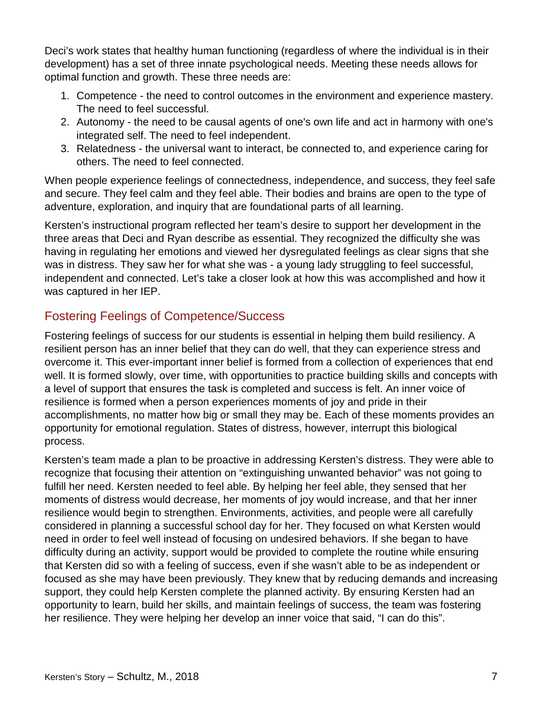Deci's work states that healthy human functioning (regardless of where the individual is in their development) has a set of three innate psychological needs. Meeting these needs allows for optimal function and growth. These three needs are:

- 1. Competence the need to control outcomes in the environment and experience mastery. The need to feel successful.
- 2. Autonomy the need to be causal agents of one's own life and act in harmony with one's integrated self. The need to feel independent.
- 3. Relatedness the universal want to interact, be connected to, and experience caring for others. The need to feel connected.

When people experience feelings of connectedness, independence, and success, they feel safe and secure. They feel calm and they feel able. Their bodies and brains are open to the type of adventure, exploration, and inquiry that are foundational parts of all learning.

Kersten's instructional program reflected her team's desire to support her development in the three areas that Deci and Ryan describe as essential. They recognized the difficulty she was having in regulating her emotions and viewed her dysregulated feelings as clear signs that she was in distress. They saw her for what she was - a young lady struggling to feel successful, independent and connected. Let's take a closer look at how this was accomplished and how it was captured in her IEP.

### Fostering Feelings of Competence/Success

Fostering feelings of success for our students is essential in helping them build resiliency. A resilient person has an inner belief that they can do well, that they can experience stress and overcome it. This ever-important inner belief is formed from a collection of experiences that end well. It is formed slowly, over time, with opportunities to practice building skills and concepts with a level of support that ensures the task is completed and success is felt. An inner voice of resilience is formed when a person experiences moments of joy and pride in their accomplishments, no matter how big or small they may be. Each of these moments provides an opportunity for emotional regulation. States of distress, however, interrupt this biological process.

Kersten's team made a plan to be proactive in addressing Kersten's distress. They were able to recognize that focusing their attention on "extinguishing unwanted behavior" was not going to fulfill her need. Kersten needed to feel able. By helping her feel able, they sensed that her moments of distress would decrease, her moments of joy would increase, and that her inner resilience would begin to strengthen. Environments, activities, and people were all carefully considered in planning a successful school day for her. They focused on what Kersten would need in order to feel well instead of focusing on undesired behaviors. If she began to have difficulty during an activity, support would be provided to complete the routine while ensuring that Kersten did so with a feeling of success, even if she wasn't able to be as independent or focused as she may have been previously. They knew that by reducing demands and increasing support, they could help Kersten complete the planned activity. By ensuring Kersten had an opportunity to learn, build her skills, and maintain feelings of success, the team was fostering her resilience. They were helping her develop an inner voice that said, "I can do this".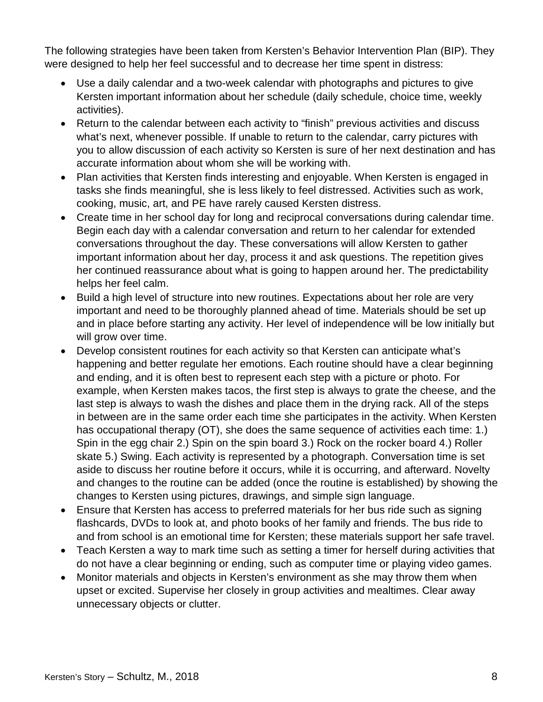The following strategies have been taken from Kersten's Behavior Intervention Plan (BIP). They were designed to help her feel successful and to decrease her time spent in distress:

- Use a daily calendar and a two-week calendar with photographs and pictures to give Kersten important information about her schedule (daily schedule, choice time, weekly activities).
- Return to the calendar between each activity to "finish" previous activities and discuss what's next, whenever possible. If unable to return to the calendar, carry pictures with you to allow discussion of each activity so Kersten is sure of her next destination and has accurate information about whom she will be working with.
- Plan activities that Kersten finds interesting and enjoyable. When Kersten is engaged in tasks she finds meaningful, she is less likely to feel distressed. Activities such as work, cooking, music, art, and PE have rarely caused Kersten distress.
- Create time in her school day for long and reciprocal conversations during calendar time. Begin each day with a calendar conversation and return to her calendar for extended conversations throughout the day. These conversations will allow Kersten to gather important information about her day, process it and ask questions. The repetition gives her continued reassurance about what is going to happen around her. The predictability helps her feel calm.
- Build a high level of structure into new routines. Expectations about her role are very important and need to be thoroughly planned ahead of time. Materials should be set up and in place before starting any activity. Her level of independence will be low initially but will grow over time.
- Develop consistent routines for each activity so that Kersten can anticipate what's happening and better regulate her emotions. Each routine should have a clear beginning and ending, and it is often best to represent each step with a picture or photo. For example, when Kersten makes tacos, the first step is always to grate the cheese, and the last step is always to wash the dishes and place them in the drying rack. All of the steps in between are in the same order each time she participates in the activity. When Kersten has occupational therapy (OT), she does the same sequence of activities each time: 1.) Spin in the egg chair 2.) Spin on the spin board 3.) Rock on the rocker board 4.) Roller skate 5.) Swing. Each activity is represented by a photograph. Conversation time is set aside to discuss her routine before it occurs, while it is occurring, and afterward. Novelty and changes to the routine can be added (once the routine is established) by showing the changes to Kersten using pictures, drawings, and simple sign language.
- Ensure that Kersten has access to preferred materials for her bus ride such as signing flashcards, DVDs to look at, and photo books of her family and friends. The bus ride to and from school is an emotional time for Kersten; these materials support her safe travel.
- Teach Kersten a way to mark time such as setting a timer for herself during activities that do not have a clear beginning or ending, such as computer time or playing video games.
- Monitor materials and objects in Kersten's environment as she may throw them when upset or excited. Supervise her closely in group activities and mealtimes. Clear away unnecessary objects or clutter.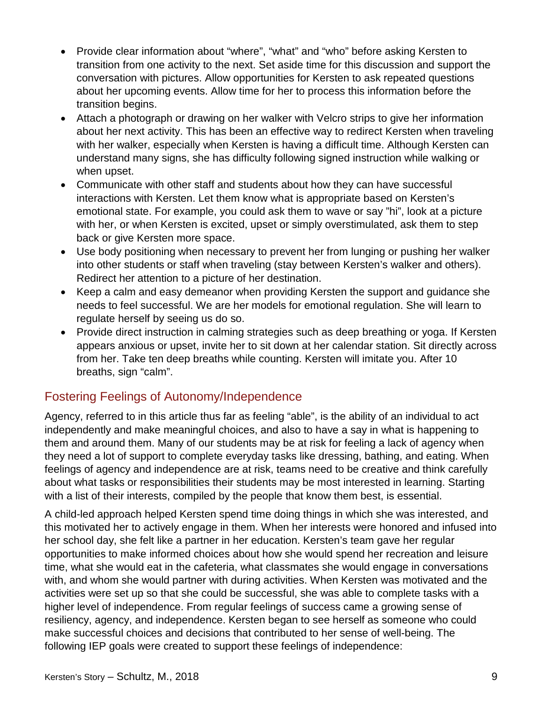- Provide clear information about "where", "what" and "who" before asking Kersten to transition from one activity to the next. Set aside time for this discussion and support the conversation with pictures. Allow opportunities for Kersten to ask repeated questions about her upcoming events. Allow time for her to process this information before the transition begins.
- Attach a photograph or drawing on her walker with Velcro strips to give her information about her next activity. This has been an effective way to redirect Kersten when traveling with her walker, especially when Kersten is having a difficult time. Although Kersten can understand many signs, she has difficulty following signed instruction while walking or when upset.
- Communicate with other staff and students about how they can have successful interactions with Kersten. Let them know what is appropriate based on Kersten's emotional state. For example, you could ask them to wave or say "hi", look at a picture with her, or when Kersten is excited, upset or simply overstimulated, ask them to step back or give Kersten more space.
- Use body positioning when necessary to prevent her from lunging or pushing her walker into other students or staff when traveling (stay between Kersten's walker and others). Redirect her attention to a picture of her destination.
- Keep a calm and easy demeanor when providing Kersten the support and guidance she needs to feel successful. We are her models for emotional regulation. She will learn to regulate herself by seeing us do so.
- Provide direct instruction in calming strategies such as deep breathing or yoga. If Kersten appears anxious or upset, invite her to sit down at her calendar station. Sit directly across from her. Take ten deep breaths while counting. Kersten will imitate you. After 10 breaths, sign "calm".

#### Fostering Feelings of Autonomy/Independence

Agency, referred to in this article thus far as feeling "able", is the ability of an individual to act independently and make meaningful choices, and also to have a say in what is happening to them and around them. Many of our students may be at risk for feeling a lack of agency when they need a lot of support to complete everyday tasks like dressing, bathing, and eating. When feelings of agency and independence are at risk, teams need to be creative and think carefully about what tasks or responsibilities their students may be most interested in learning. Starting with a list of their interests, compiled by the people that know them best, is essential.

A child-led approach helped Kersten spend time doing things in which she was interested, and this motivated her to actively engage in them. When her interests were honored and infused into her school day, she felt like a partner in her education. Kersten's team gave her regular opportunities to make informed choices about how she would spend her recreation and leisure time, what she would eat in the cafeteria, what classmates she would engage in conversations with, and whom she would partner with during activities. When Kersten was motivated and the activities were set up so that she could be successful, she was able to complete tasks with a higher level of independence. From regular feelings of success came a growing sense of resiliency, agency, and independence. Kersten began to see herself as someone who could make successful choices and decisions that contributed to her sense of well-being. The following IEP goals were created to support these feelings of independence: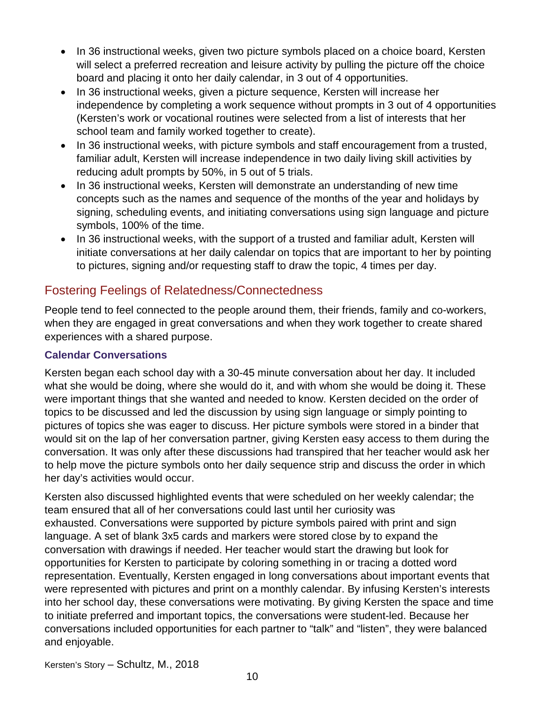- In 36 instructional weeks, given two picture symbols placed on a choice board, Kersten will select a preferred recreation and leisure activity by pulling the picture off the choice board and placing it onto her daily calendar, in 3 out of 4 opportunities.
- In 36 instructional weeks, given a picture sequence, Kersten will increase her independence by completing a work sequence without prompts in 3 out of 4 opportunities (Kersten's work or vocational routines were selected from a list of interests that her school team and family worked together to create).
- In 36 instructional weeks, with picture symbols and staff encouragement from a trusted, familiar adult, Kersten will increase independence in two daily living skill activities by reducing adult prompts by 50%, in 5 out of 5 trials.
- In 36 instructional weeks, Kersten will demonstrate an understanding of new time concepts such as the names and sequence of the months of the year and holidays by signing, scheduling events, and initiating conversations using sign language and picture symbols, 100% of the time.
- In 36 instructional weeks, with the support of a trusted and familiar adult, Kersten will initiate conversations at her daily calendar on topics that are important to her by pointing to pictures, signing and/or requesting staff to draw the topic, 4 times per day.

#### Fostering Feelings of Relatedness/Connectedness

People tend to feel connected to the people around them, their friends, family and co-workers, when they are engaged in great conversations and when they work together to create shared experiences with a shared purpose.

#### **Calendar Conversations**

Kersten began each school day with a 30-45 minute conversation about her day. It included what she would be doing, where she would do it, and with whom she would be doing it. These were important things that she wanted and needed to know. Kersten decided on the order of topics to be discussed and led the discussion by using sign language or simply pointing to pictures of topics she was eager to discuss. Her picture symbols were stored in a binder that would sit on the lap of her conversation partner, giving Kersten easy access to them during the conversation. It was only after these discussions had transpired that her teacher would ask her to help move the picture symbols onto her daily sequence strip and discuss the order in which her day's activities would occur.

Kersten also discussed highlighted events that were scheduled on her weekly calendar; the team ensured that all of her conversations could last until her curiosity was exhausted. Conversations were supported by picture symbols paired with print and sign language. A set of blank 3x5 cards and markers were stored close by to expand the conversation with drawings if needed. Her teacher would start the drawing but look for opportunities for Kersten to participate by coloring something in or tracing a dotted word representation. Eventually, Kersten engaged in long conversations about important events that were represented with pictures and print on a monthly calendar. By infusing Kersten's interests into her school day, these conversations were motivating. By giving Kersten the space and time to initiate preferred and important topics, the conversations were student-led. Because her conversations included opportunities for each partner to "talk" and "listen", they were balanced and enjoyable.

Kersten's Story – Schultz, M., 2018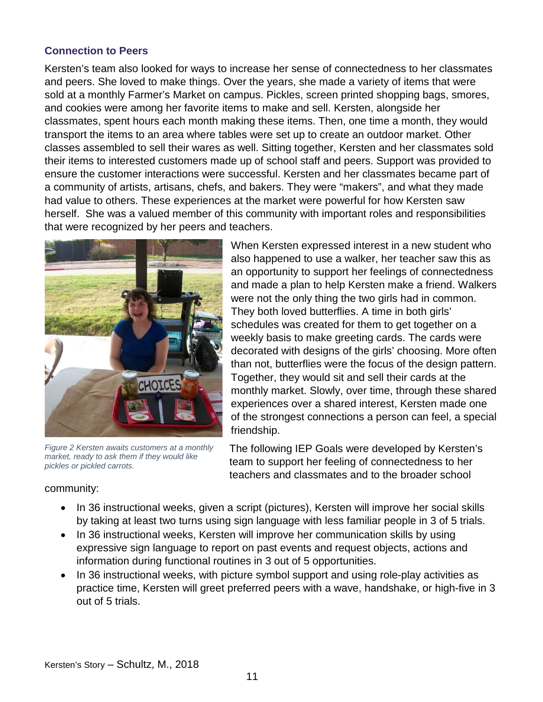#### **Connection to Peers**

Kersten's team also looked for ways to increase her sense of connectedness to her classmates and peers. She loved to make things. Over the years, she made a variety of items that were sold at a monthly Farmer's Market on campus. Pickles, screen printed shopping bags, smores, and cookies were among her favorite items to make and sell. Kersten, alongside her classmates, spent hours each month making these items. Then, one time a month, they would transport the items to an area where tables were set up to create an outdoor market. Other classes assembled to sell their wares as well. Sitting together, Kersten and her classmates sold their items to interested customers made up of school staff and peers. Support was provided to ensure the customer interactions were successful. Kersten and her classmates became part of a community of artists, artisans, chefs, and bakers. They were "makers", and what they made had value to others. These experiences at the market were powerful for how Kersten saw herself. She was a valued member of this community with important roles and responsibilities that were recognized by her peers and teachers.



*Figure 2 Kersten awaits customers at a monthly market, ready to ask them if they would like pickles or pickled carrots.*

When Kersten expressed interest in a new student who also happened to use a walker, her teacher saw this as an opportunity to support her feelings of connectedness and made a plan to help Kersten make a friend. Walkers were not the only thing the two girls had in common. They both loved butterflies. A time in both girls' schedules was created for them to get together on a weekly basis to make greeting cards. The cards were decorated with designs of the girls' choosing. More often than not, butterflies were the focus of the design pattern. Together, they would sit and sell their cards at the monthly market. Slowly, over time, through these shared experiences over a shared interest, Kersten made one of the strongest connections a person can feel, a special friendship.

The following IEP Goals were developed by Kersten's team to support her feeling of connectedness to her teachers and classmates and to the broader school

#### community:

- In 36 instructional weeks, given a script (pictures), Kersten will improve her social skills by taking at least two turns using sign language with less familiar people in 3 of 5 trials.
- In 36 instructional weeks, Kersten will improve her communication skills by using expressive sign language to report on past events and request objects, actions and information during functional routines in 3 out of 5 opportunities.
- In 36 instructional weeks, with picture symbol support and using role-play activities as practice time, Kersten will greet preferred peers with a wave, handshake, or high-five in 3 out of 5 trials.